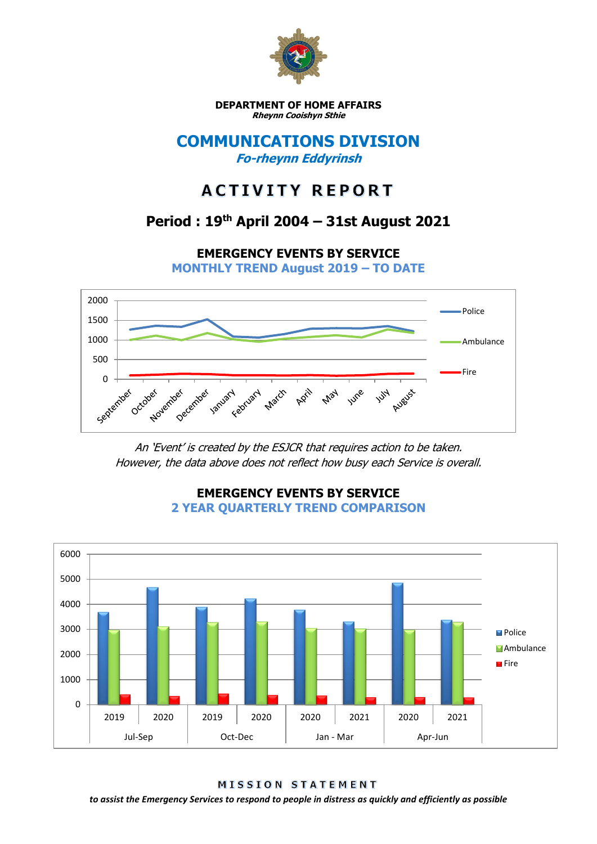

**DEPARTMENT OF HOME AFFAIRS Rheynn Cooishyn Sthie**

## **COMMUNICATIONS DIVISION Fo-rheynn Eddyrinsh**

# **ACTIVITY REPORT**

## **Period : 19th April 2004 – 31st August 2021**

**EMERGENCY EVENTS BY SERVICE**

**MONTHLY TREND August 2019 – TO DATE**



An 'Event' is created by the ESJCR that requires action to be taken. However, the data above does not reflect how busy each Service is overall.



**EMERGENCY EVENTS BY SERVICE 2 YEAR QUARTERLY TREND COMPARISON**

**MISSION STATEMENT** 

*to assist the Emergency Services to respond to people in distress as quickly and efficiently as possible*